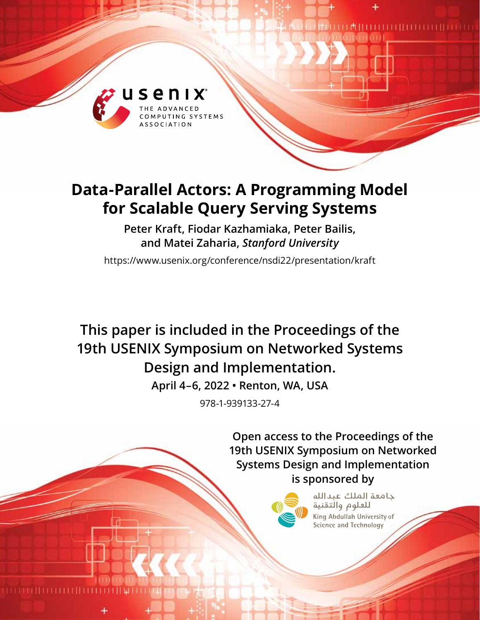

# **Data-Parallel Actors: A Programming Model for Scalable Query Serving Systems**

**Peter Kraft, Fiodar Kazhamiaka, Peter Bailis, and Matei Zaharia,** *Stanford University*

<https://www.usenix.org/conference/nsdi22/presentation/kraft>

**This paper is included in the Proceedings of the 19th USENIX Symposium on Networked Systems Design and Implementation.**

**April 4–6, 2022 • Renton, WA, USA**

978-1-939133-27-4

**Open access to the Proceedings of the 19th USENIX Symposium on Networked Systems Design and Implementation is sponsored by**



حامعة الملك عبدالله للعلوم والتقنية King Abdullah University of Science and Technology

 $\begin{minipage}{.4\linewidth} \begin{tabular}{l} \hline \textbf{0} & \textbf{0} & \textbf{0} & \textbf{0} & \textbf{0} & \textbf{0} & \textbf{0} & \textbf{0} & \textbf{0} & \textbf{0} & \textbf{0} & \textbf{0} & \textbf{0} & \textbf{0} & \textbf{0} & \textbf{0} & \textbf{0} & \textbf{0} & \textbf{0} & \textbf{0} & \textbf{0} & \textbf{0} & \textbf{0} & \textbf{0} & \textbf{0} & \textbf{0} & \textbf{0} & \textbf{0} & \$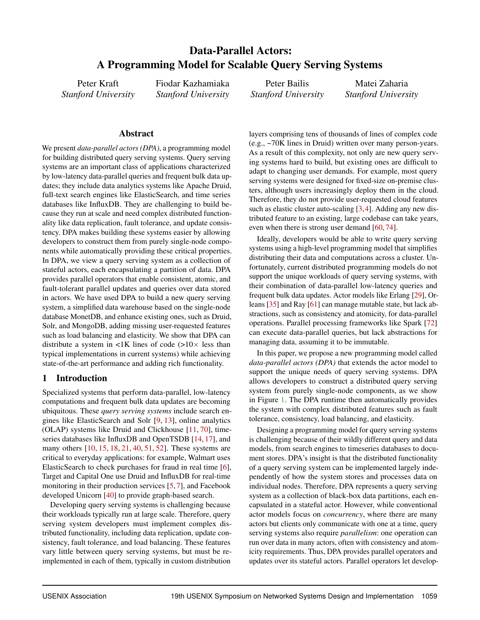# Data-Parallel Actors: A Programming Model for Scalable Query Serving Systems

Peter Kraft *Stanford University* Fiodar Kazhamiaka *Stanford University*

Peter Bailis *Stanford University*

Matei Zaharia *Stanford University*

## Abstract

We present *data-parallel actors (DPA)*, a programming model for building distributed query serving systems. Query serving systems are an important class of applications characterized by low-latency data-parallel queries and frequent bulk data updates; they include data analytics systems like Apache Druid, full-text search engines like ElasticSearch, and time series databases like InfluxDB. They are challenging to build because they run at scale and need complex distributed functionality like data replication, fault tolerance, and update consistency. DPA makes building these systems easier by allowing developers to construct them from purely single-node components while automatically providing these critical properties. In DPA, we view a query serving system as a collection of stateful actors, each encapsulating a partition of data. DPA provides parallel operators that enable consistent, atomic, and fault-tolerant parallel updates and queries over data stored in actors. We have used DPA to build a new query serving system, a simplified data warehouse based on the single-node database MonetDB, and enhance existing ones, such as Druid, Solr, and MongoDB, adding missing user-requested features such as load balancing and elasticity. We show that DPA can distribute a system in  $\langle 1K \rangle$  lines of code ( $>10 \times$  less than typical implementations in current systems) while achieving state-of-the-art performance and adding rich functionality.

## 1 Introduction

Specialized systems that perform data-parallel, low-latency computations and frequent bulk data updates are becoming ubiquitous. These *query serving systems* include search engines like ElasticSearch and Solr [\[9,](#page-13-0) [13\]](#page-13-1), online analytics (OLAP) systems like Druid and Clickhouse [\[11,](#page-13-2) [70\]](#page-15-0), timeseries databases like InfluxDB and OpenTSDB [\[14,](#page-13-3) [17\]](#page-13-4), and many others [\[10,](#page-13-5) [15,](#page-13-6) [18,](#page-13-7) [21,](#page-13-8) [40,](#page-14-0) [51,](#page-14-1) [52\]](#page-14-2). These systems are critical to everyday applications: for example, Walmart uses ElasticSearch to check purchases for fraud in real time [\[6\]](#page-13-9), Target and Capital One use Druid and InfluxDB for real-time monitoring in their production services [\[5,](#page-13-10) [7\]](#page-13-11), and Facebook developed Unicorn [\[40\]](#page-14-0) to provide graph-based search.

Developing query serving systems is challenging because their workloads typically run at large scale. Therefore, query serving system developers must implement complex distributed functionality, including data replication, update consistency, fault tolerance, and load balancing. These features vary little between query serving systems, but must be reimplemented in each of them, typically in custom distribution

layers comprising tens of thousands of lines of complex code (e.g., ~70K lines in Druid) written over many person-years. As a result of this complexity, not only are new query serving systems hard to build, but existing ones are difficult to adapt to changing user demands. For example, most query serving systems were designed for fixed-size on-premise clusters, although users increasingly deploy them in the cloud. Therefore, they do not provide user-requested cloud features such as elastic cluster auto-scaling [\[3,](#page-13-12)[4\]](#page-13-13). Adding any new distributed feature to an existing, large codebase can take years, even when there is strong user demand [\[60,](#page-15-1)[74\]](#page-16-0).

Ideally, developers would be able to write query serving systems using a high-level programming model that simplifies distributing their data and computations across a cluster. Unfortunately, current distributed programming models do not support the unique workloads of query serving systems, with their combination of data-parallel low-latency queries and frequent bulk data updates. Actor models like Erlang [\[29\]](#page-13-14), Orleans [\[35\]](#page-14-3) and Ray [\[61\]](#page-15-2) can manage mutable state, but lack abstractions, such as consistency and atomicity, for data-parallel operations. Parallel processing frameworks like Spark [\[72\]](#page-15-3) can execute data-parallel queries, but lack abstractions for managing data, assuming it to be immutable.

In this paper, we propose a new programming model called *data-parallel actors (DPA)* that extends the actor model to support the unique needs of query serving systems. DPA allows developers to construct a distributed query serving system from purely single-node components, as we show in Figure [1.](#page-2-0) The DPA runtime then automatically provides the system with complex distributed features such as fault tolerance, consistency, load balancing, and elasticity.

Designing a programming model for query serving systems is challenging because of their wildly different query and data models, from search engines to timeseries databases to document stores. DPA's insight is that the distributed functionality of a query serving system can be implemented largely independently of how the system stores and processes data on individual nodes. Therefore, DPA represents a query serving system as a collection of black-box data partitions, each encapsulated in a stateful actor. However, while conventional actor models focus on *concurrency*, where there are many actors but clients only communicate with one at a time, query serving systems also require *parallelism*: one operation can run over data in many actors, often with consistency and atomicity requirements. Thus, DPA provides parallel operators and updates over its stateful actors. Parallel operators let develop-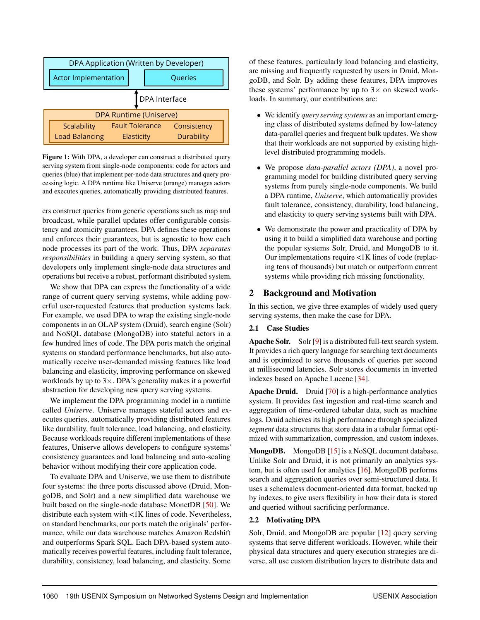<span id="page-2-0"></span>

Figure 1: With DPA, a developer can construct a distributed query serving system from single-node components: code for actors and queries (blue) that implement per-node data structures and query processing logic. A DPA runtime like Uniserve (orange) manages actors and executes queries, automatically providing distributed features.

ers construct queries from generic operations such as map and broadcast, while parallel updates offer configurable consistency and atomicity guarantees. DPA defines these operations and enforces their guarantees, but is agnostic to how each node processes its part of the work. Thus, DPA *separates responsibilities* in building a query serving system, so that developers only implement single-node data structures and operations but receive a robust, performant distributed system.

We show that DPA can express the functionality of a wide range of current query serving systems, while adding powerful user-requested features that production systems lack. For example, we used DPA to wrap the existing single-node components in an OLAP system (Druid), search engine (Solr) and NoSQL database (MongoDB) into stateful actors in a few hundred lines of code. The DPA ports match the original systems on standard performance benchmarks, but also automatically receive user-demanded missing features like load balancing and elasticity, improving performance on skewed workloads by up to  $3 \times$ . DPA's generality makes it a powerful abstraction for developing new query serving systems.

We implement the DPA programming model in a runtime called *Uniserve*. Uniserve manages stateful actors and executes queries, automatically providing distributed features like durability, fault tolerance, load balancing, and elasticity. Because workloads require different implementations of these features, Uniserve allows developers to configure systems' consistency guarantees and load balancing and auto-scaling behavior without modifying their core application code.

To evaluate DPA and Uniserve, we use them to distribute four systems: the three ports discussed above (Druid, MongoDB, and Solr) and a new simplified data warehouse we built based on the single-node database MonetDB [\[50\]](#page-14-4). We distribute each system with <1K lines of code. Nevertheless, on standard benchmarks, our ports match the originals' performance, while our data warehouse matches Amazon Redshift and outperforms Spark SQL. Each DPA-based system automatically receives powerful features, including fault tolerance, durability, consistency, load balancing, and elasticity. Some

of these features, particularly load balancing and elasticity, are missing and frequently requested by users in Druid, MongoDB, and Solr. By adding these features, DPA improves these systems' performance by up to  $3\times$  on skewed workloads. In summary, our contributions are:

- We identify *query serving systems* as an important emerging class of distributed systems defined by low-latency data-parallel queries and frequent bulk updates. We show that their workloads are not supported by existing highlevel distributed programming models.
- We propose *data-parallel actors (DPA)*, a novel programming model for building distributed query serving systems from purely single-node components. We build a DPA runtime, *Uniserve*, which automatically provides fault tolerance, consistency, durability, load balancing, and elasticity to query serving systems built with DPA.
- We demonstrate the power and practicality of DPA by using it to build a simplified data warehouse and porting the popular systems Solr, Druid, and MongoDB to it. Our implementations require <1K lines of code (replacing tens of thousands) but match or outperform current systems while providing rich missing functionality.

# 2 Background and Motivation

In this section, we give three examples of widely used query serving systems, then make the case for DPA.

# 2.1 Case Studies

Apache Solr. Solr [\[9\]](#page-13-0) is a distributed full-text search system. It provides a rich query language for searching text documents and is optimized to serve thousands of queries per second at millisecond latencies. Solr stores documents in inverted indexes based on Apache Lucene [\[34\]](#page-14-5).

Apache Druid. Druid [\[70\]](#page-15-0) is a high-performance analytics system. It provides fast ingestion and real-time search and aggregation of time-ordered tabular data, such as machine logs. Druid achieves its high performance through specialized *segment* data structures that store data in a tabular format optimized with summarization, compression, and custom indexes.

MongoDB. MongoDB [\[15\]](#page-13-6) is a NoSQL document database. Unlike Solr and Druid, it is not primarily an analytics system, but is often used for analytics [\[16\]](#page-13-15). MongoDB performs search and aggregation queries over semi-structured data. It uses a schemaless document-oriented data format, backed up by indexes, to give users flexibility in how their data is stored and queried without sacrificing performance.

# 2.2 Motivating DPA

Solr, Druid, and MongoDB are popular [\[12\]](#page-13-16) query serving systems that serve different workloads. However, while their physical data structures and query execution strategies are diverse, all use custom distribution layers to distribute data and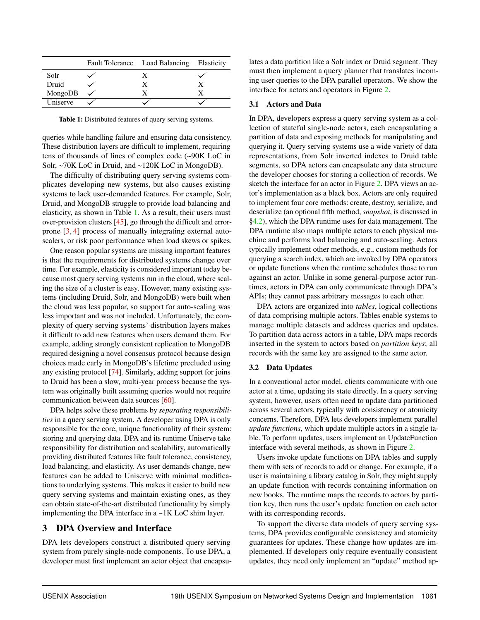<span id="page-3-0"></span>

|          | Fault Tolerance Load Balancing Elasticity |  |
|----------|-------------------------------------------|--|
| Solr     |                                           |  |
| Druid    | X                                         |  |
| MongoDB  |                                           |  |
| Uniserve |                                           |  |

Table 1: Distributed features of query serving systems.

queries while handling failure and ensuring data consistency. These distribution layers are difficult to implement, requiring tens of thousands of lines of complex code (~90K LoC in Solr, ~70K LoC in Druid, and ~120K LoC in MongoDB).

The difficulty of distributing query serving systems complicates developing new systems, but also causes existing systems to lack user-demanded features. For example, Solr, Druid, and MongoDB struggle to provide load balancing and elasticity, as shown in Table [1.](#page-3-0) As a result, their users must over-provision clusters [\[45\]](#page-14-6), go through the difficult and errorprone [\[3,](#page-13-12) [4\]](#page-13-13) process of manually integrating external autoscalers, or risk poor performance when load skews or spikes.

One reason popular systems are missing important features is that the requirements for distributed systems change over time. For example, elasticity is considered important today because most query serving systems run in the cloud, where scaling the size of a cluster is easy. However, many existing systems (including Druid, Solr, and MongoDB) were built when the cloud was less popular, so support for auto-scaling was less important and was not included. Unfortunately, the complexity of query serving systems' distribution layers makes it difficult to add new features when users demand them. For example, adding strongly consistent replication to MongoDB required designing a novel consensus protocol because design choices made early in MongoDB's lifetime precluded using any existing protocol [\[74\]](#page-16-0). Similarly, adding support for joins to Druid has been a slow, multi-year process because the system was originally built assuming queries would not require communication between data sources [\[60\]](#page-15-1).

DPA helps solve these problems by *separating responsibilities* in a query serving system. A developer using DPA is only responsible for the core, unique functionality of their system: storing and querying data. DPA and its runtime Uniserve take responsibility for distribution and scalability, automatically providing distributed features like fault tolerance, consistency, load balancing, and elasticity. As user demands change, new features can be added to Uniserve with minimal modifications to underlying systems. This makes it easier to build new query serving systems and maintain existing ones, as they can obtain state-of-the-art distributed functionality by simply implementing the DPA interface in a ~1K LoC shim layer.

# 3 DPA Overview and Interface

DPA lets developers construct a distributed query serving system from purely single-node components. To use DPA, a developer must first implement an actor object that encapsulates a data partition like a Solr index or Druid segment. They must then implement a query planner that translates incoming user queries to the DPA parallel operators. We show the interface for actors and operators in Figure [2.](#page-4-0)

#### 3.1 Actors and Data

In DPA, developers express a query serving system as a collection of stateful single-node actors, each encapsulating a partition of data and exposing methods for manipulating and querying it. Query serving systems use a wide variety of data representations, from Solr inverted indexes to Druid table segments, so DPA actors can encapsulate any data structure the developer chooses for storing a collection of records. We sketch the interface for an actor in Figure [2.](#page-4-0) DPA views an actor's implementation as a black box. Actors are only required to implement four core methods: create, destroy, serialize, and deserialize (an optional fifth method, *snapshot*, is discussed in [§4.2\)](#page-6-0), which the DPA runtime uses for data management. The DPA runtime also maps multiple actors to each physical machine and performs load balancing and auto-scaling. Actors typically implement other methods, e.g., custom methods for querying a search index, which are invoked by DPA operators or update functions when the runtime schedules those to run against an actor. Unlike in some general-purpose actor runtimes, actors in DPA can only communicate through DPA's APIs; they cannot pass arbitrary messages to each other.

DPA actors are organized into *tables*, logical collections of data comprising multiple actors. Tables enable systems to manage multiple datasets and address queries and updates. To partition data across actors in a table, DPA maps records inserted in the system to actors based on *partition keys*; all records with the same key are assigned to the same actor.

## <span id="page-3-1"></span>3.2 Data Updates

In a conventional actor model, clients communicate with one actor at a time, updating its state directly. In a query serving system, however, users often need to update data partitioned across several actors, typically with consistency or atomicity concerns. Therefore, DPA lets developers implement parallel *update functions*, which update multiple actors in a single table. To perform updates, users implement an UpdateFunction interface with several methods, as shown in Figure [2.](#page-4-0)

Users invoke update functions on DPA tables and supply them with sets of records to add or change. For example, if a user is maintaining a library catalog in Solr, they might supply an update function with records containing information on new books. The runtime maps the records to actors by partition key, then runs the user's update function on each actor with its corresponding records.

To support the diverse data models of query serving systems, DPA provides configurable consistency and atomicity guarantees for updates. These change how updates are implemented. If developers only require eventually consistent updates, they need only implement an "update" method ap-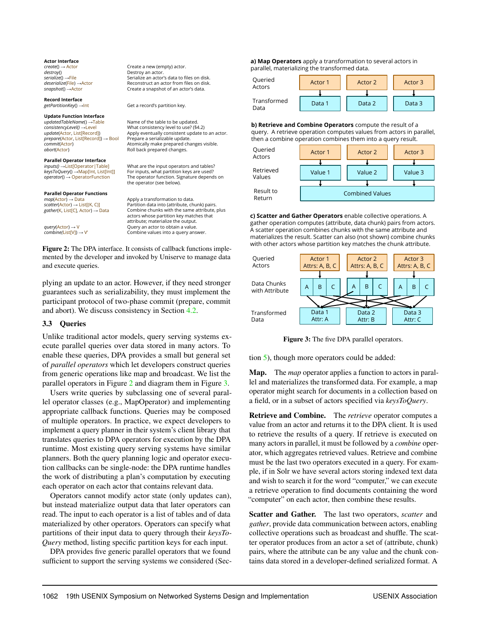<span id="page-4-0"></span>**Actor Interface** *create*() → Actor *destroy*() *serialize*() →File *deserialize*(File) →Actor *snapshot*() →Actor **Record Interface** *getPartitionKey*() →Int **Update Function Interface** *updatedTableName*() →Table *consistencyLevel()* →Level *update*(Actor, List[Record]) *prepare*(Actor, List[Record]) → Bool *commit*(Actor) *abort*(Actor) **Parallel Operator Interface** *inputs()* →List[Operator|Table] *keysToQuery*() →Map[Int, List[Int]] *operator*() → OperatorFunction **Parallel Operator Functions** *map*(Actor) → Data *scatter*(Actor) → List[(K, C)] *gather*(K, List[C], Actor) → Data *query*(Actor) → V *combine(*List[V]) → V' Create a new (empty) actor. Destroy an actor. Serialize an actor's data to files on disk. Reconstruct an actor from files on disk. Create a snapshot of an actor's data. Get a record's partition key. Name of the table to be updated. What consistency level to use? (§4.2) Apply eventually consistent update to an actor. Prepare a serializable update. Atomically make prepared changes visible. Roll back prepared changes. What are the input operators and tables? For inputs, what partition keys are used? The operator function. Signature depends on the operator (see below). Apply a transformation to data. Partition data into (attribute, chunk) pairs. Combine chunks with the same attribute, plus actors whose partition key matches that attribute; materialize the output. Query an actor to obtain a value. Combine values into a query answer. Figure 2: The DPA interface. It consists of callback functions implemented by the developer and invoked by Uniserve to manage data Queried Actors Transformed Data Queried Actors Retrieved Values Return

plying an update to an actor. However, if they need stronger guarantees such as serializability, they must implement the participant protocol of two-phase commit (prepare, commit and abort). We discuss consistency in Section [4.2.](#page-6-0)

#### 3.3 Queries

and execute queries.

Unlike traditional actor models, query serving systems execute parallel queries over data stored in many actors. To enable these queries, DPA provides a small but general set of *parallel operators* which let developers construct queries from generic operations like map and broadcast. We list the parallel operators in Figure [2](#page-4-0) and diagram them in Figure [3.](#page-4-1)

Users write queries by subclassing one of several parallel operator classes (e.g., MapOperator) and implementing appropriate callback functions. Queries may be composed of multiple operators. In practice, we expect developers to implement a query planner in their system's client library that translates queries to DPA operators for execution by the DPA runtime. Most existing query serving systems have similar planners. Both the query planning logic and operator execution callbacks can be single-node: the DPA runtime handles the work of distributing a plan's computation by executing each operator on each actor that contains relevant data.

Operators cannot modify actor state (only updates can), but instead materialize output data that later operators can read. The input to each operator is a list of tables and of data materialized by other operators. Operators can specify what partitions of their input data to query through their *keysTo-Query* method, listing specific partition keys for each input.

DPA provides five generic parallel operators that we found sufficient to support the serving systems we considered (Sec-

<span id="page-4-1"></span>**a) Map Operators** apply a transformation to several actors in parallel, materializing the transformed data.

| Queried<br>Actors   | Actor 1 | Actor 2 | Actor 3 |
|---------------------|---------|---------|---------|
|                     |         |         |         |
| Transformed<br>Data | Data 1  | Data 2  | Data 3  |

**b) Retrieve and Combine Operators** compute the result of a query. A retrieve operation computes values from actors in parallel, then a combine operation combines them into a query result.



**c) Scatter and Gather Operators** enable collective operations. A gather operation computes (attribute, data chunk) pairs from actors. A scatter operation combines chunks with the same attribute and materializes the result. Scatter can also (not shown) combine chunks with other actors whose partition key matches the chunk attribute.



Figure 3: The five DPA parallel operators.

tion [5\)](#page-7-0), though more operators could be added:

Map. The *map* operator applies a function to actors in parallel and materializes the transformed data. For example, a map operator might search for documents in a collection based on a field, or in a subset of actors specified via *keysToQuery*.

Retrieve and Combine. The *retrieve* operator computes a value from an actor and returns it to the DPA client. It is used to retrieve the results of a query. If retrieve is executed on many actors in parallel, it must be followed by a *combine* operator, which aggregates retrieved values. Retrieve and combine must be the last two operators executed in a query. For example, if in Solr we have several actors storing indexed text data and wish to search it for the word "computer," we can execute a retrieve operation to find documents containing the word "computer" on each actor, then combine these results.

Scatter and Gather. The last two operators, *scatter* and *gather*, provide data communication between actors, enabling collective operations such as broadcast and shuffle. The scatter operator produces from an actor a set of (attribute, chunk) pairs, where the attribute can be any value and the chunk contains data stored in a developer-defined serialized format. A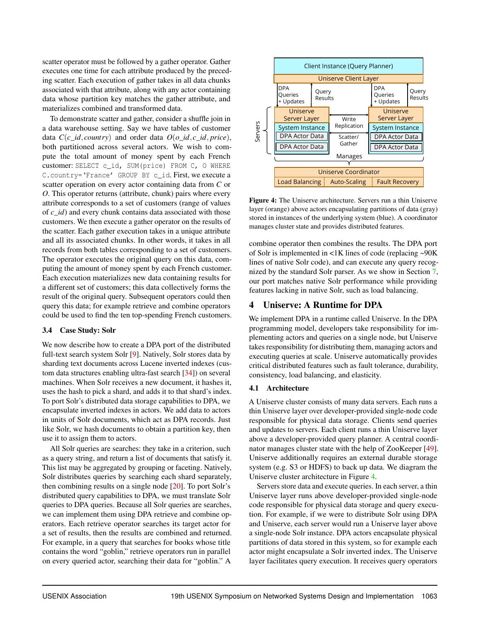scatter operator must be followed by a gather operator. Gather executes one time for each attribute produced by the preceding scatter. Each execution of gather takes in all data chunks associated with that attribute, along with any actor containing data whose partition key matches the gather attribute, and materializes combined and transformed data.

To demonstrate scatter and gather, consider a shuffle join in a data warehouse setting. Say we have tables of customer data *C*(*c*\_*id*, *country*) and order data *O*(*o*\_*id*, *c*\_*id*, *price*), both partitioned across several actors. We wish to compute the total amount of money spent by each French customer: SELECT c\_id, SUM(price) FROM C, O WHERE C.country='France' GROUP BY c\_id. First, we execute a scatter operation on every actor containing data from *C* or *O*. This operator returns (attribute, chunk) pairs where every attribute corresponds to a set of customers (range of values of *c*\_*id*) and every chunk contains data associated with those customers. We then execute a gather operator on the results of the scatter. Each gather execution takes in a unique attribute and all its associated chunks. In other words, it takes in all records from both tables corresponding to a set of customers. The operator executes the original query on this data, computing the amount of money spent by each French customer. Each execution materializes new data containing results for a different set of customers; this data collectively forms the result of the original query. Subsequent operators could then query this data; for example retrieve and combine operators could be used to find the ten top-spending French customers.

#### <span id="page-5-1"></span>3.4 Case Study: Solr

We now describe how to create a DPA port of the distributed full-text search system Solr [\[9\]](#page-13-0). Natively, Solr stores data by sharding text documents across Lucene inverted indexes (custom data structures enabling ultra-fast search [\[34\]](#page-14-5)) on several machines. When Solr receives a new document, it hashes it, uses the hash to pick a shard, and adds it to that shard's index. To port Solr's distributed data storage capabilities to DPA, we encapsulate inverted indexes in actors. We add data to actors in units of Solr documents, which act as DPA records. Just like Solr, we hash documents to obtain a partition key, then use it to assign them to actors.

All Solr queries are searches: they take in a criterion, such as a query string, and return a list of documents that satisfy it. This list may be aggregated by grouping or faceting. Natively, Solr distributes queries by searching each shard separately, then combining results on a single node [\[20\]](#page-13-17). To port Solr's distributed query capabilities to DPA, we must translate Solr queries to DPA queries. Because all Solr queries are searches, we can implement them using DPA retrieve and combine operators. Each retrieve operator searches its target actor for a set of results, then the results are combined and returned. For example, in a query that searches for books whose title contains the word "goblin," retrieve operators run in parallel on every queried actor, searching their data for "goblin." A

<span id="page-5-0"></span>

Figure 4: The Uniserve architecture. Servers run a thin Uniserve layer (orange) above actors encapsulating partitions of data (gray) stored in instances of the underlying system (blue). A coordinator manages cluster state and provides distributed features.

combine operator then combines the results. The DPA port of Solr is implemented in <1K lines of code (replacing ~90K lines of native Solr code), and can execute any query recognized by the standard Solr parser. As we show in Section [7,](#page-9-0) our port matches native Solr performance while providing features lacking in native Solr, such as load balancing.

# 4 Uniserve: A Runtime for DPA

We implement DPA in a runtime called Uniserve. In the DPA programming model, developers take responsibility for implementing actors and queries on a single node, but Uniserve takes responsibility for distributing them, managing actors and executing queries at scale. Uniserve automatically provides critical distributed features such as fault tolerance, durability, consistency, load balancing, and elasticity.

#### 4.1 Architecture

A Uniserve cluster consists of many data servers. Each runs a thin Uniserve layer over developer-provided single-node code responsible for physical data storage. Clients send queries and updates to servers. Each client runs a thin Uniserve layer above a developer-provided query planner. A central coordinator manages cluster state with the help of ZooKeeper [\[49\]](#page-14-7). Uniserve additionally requires an external durable storage system (e.g. S3 or HDFS) to back up data. We diagram the Uniserve cluster architecture in Figure [4.](#page-5-0)

Servers store data and execute queries. In each server, a thin Uniserve layer runs above developer-provided single-node code responsible for physical data storage and query execution. For example, if we were to distribute Solr using DPA and Uniserve, each server would run a Uniserve layer above a single-node Solr instance. DPA actors encapsulate physical partitions of data stored in this system, so for example each actor might encapsulate a Solr inverted index. The Uniserve layer facilitates query execution. It receives query operators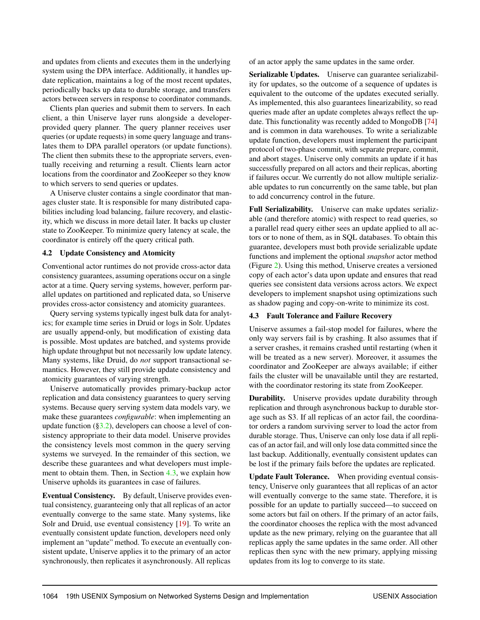and updates from clients and executes them in the underlying system using the DPA interface. Additionally, it handles update replication, maintains a log of the most recent updates, periodically backs up data to durable storage, and transfers actors between servers in response to coordinator commands.

Clients plan queries and submit them to servers. In each client, a thin Uniserve layer runs alongside a developerprovided query planner. The query planner receives user queries (or update requests) in some query language and translates them to DPA parallel operators (or update functions). The client then submits these to the appropriate servers, eventually receiving and returning a result. Clients learn actor locations from the coordinator and ZooKeeper so they know to which servers to send queries or updates.

A Uniserve cluster contains a single coordinator that manages cluster state. It is responsible for many distributed capabilities including load balancing, failure recovery, and elasticity, which we discuss in more detail later. It backs up cluster state to ZooKeeper. To minimize query latency at scale, the coordinator is entirely off the query critical path.

#### <span id="page-6-0"></span>4.2 Update Consistency and Atomicity

Conventional actor runtimes do not provide cross-actor data consistency guarantees, assuming operations occur on a single actor at a time. Query serving systems, however, perform parallel updates on partitioned and replicated data, so Uniserve provides cross-actor consistency and atomicity guarantees.

Query serving systems typically ingest bulk data for analytics; for example time series in Druid or logs in Solr. Updates are usually append-only, but modification of existing data is possible. Most updates are batched, and systems provide high update throughput but not necessarily low update latency. Many systems, like Druid, do *not* support transactional semantics. However, they still provide update consistency and atomicity guarantees of varying strength.

Uniserve automatically provides primary-backup actor replication and data consistency guarantees to query serving systems. Because query serving system data models vary, we make these guarantees *configurable*: when implementing an update function  $(\S3.2)$ , developers can choose a level of consistency appropriate to their data model. Uniserve provides the consistency levels most common in the query serving systems we surveyed. In the remainder of this section, we describe these guarantees and what developers must implement to obtain them. Then, in Section [4.3,](#page-6-1) we explain how Uniserve upholds its guarantees in case of failures.

Eventual Consistency. By default, Uniserve provides eventual consistency, guaranteeing only that all replicas of an actor eventually converge to the same state. Many systems, like Solr and Druid, use eventual consistency [\[19\]](#page-13-18). To write an eventually consistent update function, developers need only implement an "update" method. To execute an eventually consistent update, Uniserve applies it to the primary of an actor synchronously, then replicates it asynchronously. All replicas

of an actor apply the same updates in the same order.

Serializable Updates. Uniserve can guarantee serializability for updates, so the outcome of a sequence of updates is equivalent to the outcome of the updates executed serially. As implemented, this also guarantees linearizability, so read queries made after an update completes always reflect the update. This functionality was recently added to MongoDB [\[74\]](#page-16-0) and is common in data warehouses. To write a serializable update function, developers must implement the participant protocol of two-phase commit, with separate prepare, commit, and abort stages. Uniserve only commits an update if it has successfully prepared on all actors and their replicas, aborting if failures occur. We currently do not allow multiple serializable updates to run concurrently on the same table, but plan to add concurrency control in the future.

Full Serializability. Uniserve can make updates serializable (and therefore atomic) with respect to read queries, so a parallel read query either sees an update applied to all actors or to none of them, as in SQL databases. To obtain this guarantee, developers must both provide serializable update functions and implement the optional *snapshot* actor method (Figure [2\)](#page-4-0). Using this method, Uniserve creates a versioned copy of each actor's data upon update and ensures that read queries see consistent data versions across actors. We expect developers to implement snapshot using optimizations such as shadow paging and copy-on-write to minimize its cost.

## <span id="page-6-1"></span>4.3 Fault Tolerance and Failure Recovery

Uniserve assumes a fail-stop model for failures, where the only way servers fail is by crashing. It also assumes that if a server crashes, it remains crashed until restarting (when it will be treated as a new server). Moreover, it assumes the coordinator and ZooKeeper are always available; if either fails the cluster will be unavailable until they are restarted, with the coordinator restoring its state from ZooKeeper.

**Durability.** Uniserve provides update durability through replication and through asynchronous backup to durable storage such as S3. If all replicas of an actor fail, the coordinator orders a random surviving server to load the actor from durable storage. Thus, Uniserve can only lose data if all replicas of an actor fail, and will only lose data committed since the last backup. Additionally, eventually consistent updates can be lost if the primary fails before the updates are replicated.

Update Fault Tolerance. When providing eventual consistency, Uniserve only guarantees that all replicas of an actor will eventually converge to the same state. Therefore, it is possible for an update to partially succeed—to succeed on some actors but fail on others. If the primary of an actor fails, the coordinator chooses the replica with the most advanced update as the new primary, relying on the guarantee that all replicas apply the same updates in the same order. All other replicas then sync with the new primary, applying missing updates from its log to converge to its state.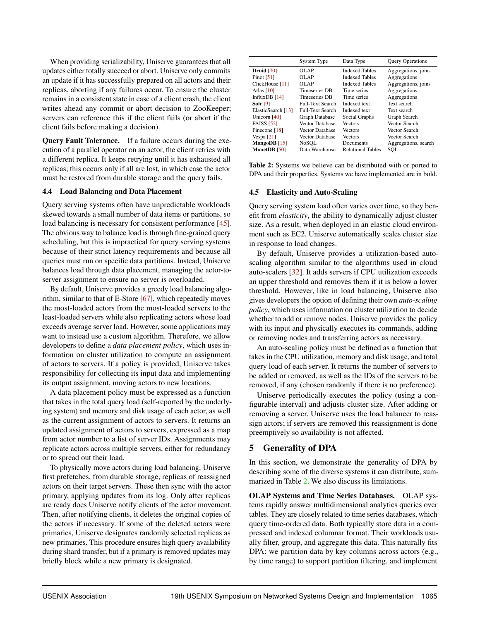When providing serializability, Uniserve guarantees that all updates either totally succeed or abort. Uniserve only commits an update if it has successfully prepared on all actors and their replicas, aborting if any failures occur. To ensure the cluster remains in a consistent state in case of a client crash, the client writes ahead any commit or abort decision to ZooKeeper; servers can reference this if the client fails (or abort if the client fails before making a decision).

Query Fault Tolerance. If a failure occurs during the execution of a parallel operator on an actor, the client retries with a different replica. It keeps retrying until it has exhausted all replicas; this occurs only if all are lost, in which case the actor must be restored from durable storage and the query fails.

#### 4.4 Load Balancing and Data Placement

Query serving systems often have unpredictable workloads skewed towards a small number of data items or partitions, so load balancing is necessary for consistent performance [\[45\]](#page-14-6). The obvious way to balance load is through fine-grained query scheduling, but this is impractical for query serving systems because of their strict latency requirements and because all queries must run on specific data partitions. Instead, Uniserve balances load through data placement, managing the actor-toserver assignment to ensure no server is overloaded.

By default, Uniserve provides a greedy load balancing algorithm, similar to that of E-Store [\[67\]](#page-15-4), which repeatedly moves the most-loaded actors from the most-loaded servers to the least-loaded servers while also replicating actors whose load exceeds average server load. However, some applications may want to instead use a custom algorithm. Therefore, we allow developers to define a *data placement policy*, which uses information on cluster utilization to compute an assignment of actors to servers. If a policy is provided, Uniserve takes responsibility for collecting its input data and implementing its output assignment, moving actors to new locations.

A data placement policy must be expressed as a function that takes in the total query load (self-reported by the underlying system) and memory and disk usage of each actor, as well as the current assignment of actors to servers. It returns an updated assignment of actors to servers, expressed as a map from actor number to a list of server IDs. Assignments may replicate actors across multiple servers, either for redundancy or to spread out their load.

To physically move actors during load balancing, Uniserve first prefetches, from durable storage, replicas of reassigned actors on their target servers. These then sync with the actor primary, applying updates from its log. Only after replicas are ready does Uniserve notify clients of the actor movement. Then, after notifying clients, it deletes the original copies of the actors if necessary. If some of the deleted actors were primaries, Uniserve designates randomly selected replicas as new primaries. This procedure ensures high query availability during shard transfer, but if a primary is removed updates may briefly block while a new primary is designated.

<span id="page-7-1"></span>

|                    | System Type             | Data Type                | <b>Query Operations</b> |
|--------------------|-------------------------|--------------------------|-------------------------|
| <b>Druid</b> [70]  | OLAP                    | <b>Indexed Tables</b>    | Aggregations, joins     |
| Pinot $[51]$       | OLAP                    | <b>Indexed Tables</b>    | Aggregations            |
| ClickHouse [11]    | OLAP                    | <b>Indexed Tables</b>    | Aggregations, joins     |
| Atlas $[10]$       | <b>Timeseries DB</b>    | Time series              | Aggregations            |
| Influx $DB$ [14]   | <b>Timeseries DB</b>    | Time series              | Aggregations            |
| Solr $[9]$         | <b>Full-Text Search</b> | Indexed text             | Text search             |
| ElasticSearch [13] | <b>Full-Text Search</b> | Indexed text             | Text search             |
| Unicorn [40]       | Graph Database          | Social Graphs            | Graph Search            |
| <b>FAISS</b> [52]  | <b>Vector Database</b>  | <b>Vectors</b>           | Vector Search           |
| Pinecone [18]      | <b>Vector Database</b>  | <b>Vectors</b>           | Vector Search           |
| Vespa $[21]$       | Vector Database         | <b>Vectors</b>           | Vector Search           |
| MongoDB $[15]$     | NoSOL                   | Documents                | Aggregations, search    |
| MonetDB [50]       | Data Warehouse          | <b>Relational Tables</b> | SOL                     |

Table 2: Systems we believe can be distributed with or ported to DPA and their properties. Systems we have implemented are in bold.

## 4.5 Elasticity and Auto-Scaling

Query serving system load often varies over time, so they benefit from *elasticity*, the ability to dynamically adjust cluster size. As a result, when deployed in an elastic cloud environment such as EC2, Uniserve automatically scales cluster size in response to load changes.

By default, Uniserve provides a utilization-based autoscaling algorithm similar to the algorithms used in cloud auto-scalers [\[32\]](#page-13-19). It adds servers if CPU utilization exceeds an upper threshold and removes them if it is below a lower threshold. However, like in load balancing, Uniserve also gives developers the option of defining their own *auto-scaling policy*, which uses information on cluster utilization to decide whether to add or remove nodes. Uniserve provides the policy with its input and physically executes its commands, adding or removing nodes and transferring actors as necessary.

An auto-scaling policy must be defined as a function that takes in the CPU utilization, memory and disk usage, and total query load of each server. It returns the number of servers to be added or removed, as well as the IDs of the servers to be removed, if any (chosen randomly if there is no preference).

Uniserve periodically executes the policy (using a configurable interval) and adjusts cluster size. After adding or removing a server, Uniserve uses the load balancer to reassign actors; if servers are removed this reassignment is done preemptively so availability is not affected.

# <span id="page-7-0"></span>5 Generality of DPA

In this section, we demonstrate the generality of DPA by describing some of the diverse systems it can distribute, summarized in Table [2.](#page-7-1) We also discuss its limitations.

OLAP Systems and Time Series Databases. OLAP systems rapidly answer multidimensional analytics queries over tables. They are closely related to time series databases, which query time-ordered data. Both typically store data in a compressed and indexed columnar format. Their workloads usually filter, group, and aggregate this data. This naturally fits DPA: we partition data by key columns across actors (e.g., by time range) to support partition filtering, and implement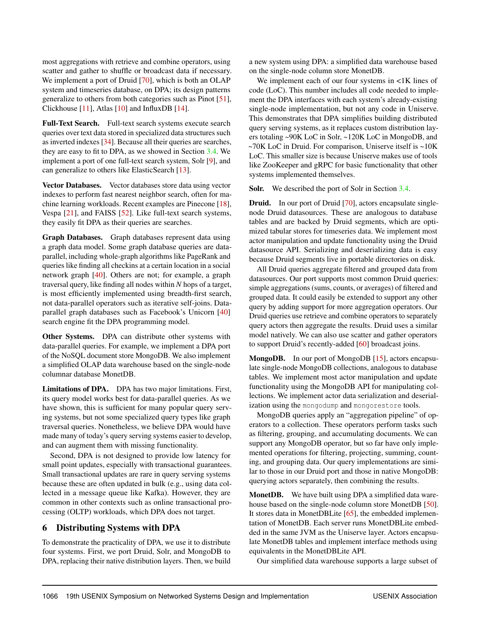most aggregations with retrieve and combine operators, using scatter and gather to shuffle or broadcast data if necessary. We implement a port of Druid [\[70\]](#page-15-0), which is both an OLAP system and timeseries database, on DPA; its design patterns generalize to others from both categories such as Pinot [\[51\]](#page-14-1), Clickhouse [\[11\]](#page-13-2), Atlas [\[10\]](#page-13-5) and InfluxDB [\[14\]](#page-13-3).

Full-Text Search. Full-text search systems execute search queries over text data stored in specialized data structures such as inverted indexes [\[34\]](#page-14-5). Because all their queries are searches, they are easy to fit to DPA, as we showed in Section [3.4.](#page-5-1) We implement a port of one full-text search system, Solr [\[9\]](#page-13-0), and can generalize to others like ElasticSearch [\[13\]](#page-13-1).

Vector Databases. Vector databases store data using vector indexes to perform fast nearest neighbor search, often for machine learning workloads. Recent examples are Pinecone [\[18\]](#page-13-7), Vespa [\[21\]](#page-13-8), and FAISS [\[52\]](#page-14-2). Like full-text search systems, they easily fit DPA as their queries are searches.

Graph Databases. Graph databases represent data using a graph data model. Some graph database queries are dataparallel, including whole-graph algorithms like PageRank and queries like finding all checkins at a certain location in a social network graph [\[40\]](#page-14-0). Others are not; for example, a graph traversal query, like finding all nodes within *N* hops of a target, is most efficiently implemented using breadth-first search, not data-parallel operators such as iterative self-joins. Dataparallel graph databases such as Facebook's Unicorn [\[40\]](#page-14-0) search engine fit the DPA programming model.

Other Systems. DPA can distribute other systems with data-parallel queries. For example, we implement a DPA port of the NoSQL document store MongoDB. We also implement a simplified OLAP data warehouse based on the single-node columnar database MonetDB.

Limitations of DPA. DPA has two major limitations. First, its query model works best for data-parallel queries. As we have shown, this is sufficient for many popular query serving systems, but not some specialized query types like graph traversal queries. Nonetheless, we believe DPA would have made many of today's query serving systems easier to develop, and can augment them with missing functionality.

Second, DPA is not designed to provide low latency for small point updates, especially with transactional guarantees. Small transactional updates are rare in query serving systems because these are often updated in bulk (e.g., using data collected in a message queue like Kafka). However, they are common in other contexts such as online transactional processing (OLTP) workloads, which DPA does not target.

# <span id="page-8-0"></span>6 Distributing Systems with DPA

To demonstrate the practicality of DPA, we use it to distribute four systems. First, we port Druid, Solr, and MongoDB to DPA, replacing their native distribution layers. Then, we build

a new system using DPA: a simplified data warehouse based on the single-node column store MonetDB.

We implement each of our four systems in  $\langle 1K \rangle$  lines of code (LoC). This number includes all code needed to implement the DPA interfaces with each system's already-existing single-node implementation, but not any code in Uniserve. This demonstrates that DPA simplifies building distributed query serving systems, as it replaces custom distribution layers totaling ~90K LoC in Solr, ~120K LoC in MongoDB, and  $\sim$ 70K LoC in Druid. For comparison, Uniserve itself is  $\sim$ 10K LoC. This smaller size is because Uniserve makes use of tools like ZooKeeper and gRPC for basic functionality that other systems implemented themselves.

Solr. We described the port of Solr in Section [3.4.](#page-5-1)

**Druid.** In our port of Druid [\[70\]](#page-15-0), actors encapsulate singlenode Druid datasources. These are analogous to database tables and are backed by Druid segments, which are optimized tabular stores for timeseries data. We implement most actor manipulation and update functionality using the Druid datasource API. Serializing and deserializing data is easy because Druid segments live in portable directories on disk.

All Druid queries aggregate filtered and grouped data from datasources. Our port supports most common Druid queries: simple aggregations (sums, counts, or averages) of filtered and grouped data. It could easily be extended to support any other query by adding support for more aggregation operators. Our Druid queries use retrieve and combine operators to separately query actors then aggregate the results. Druid uses a similar model natively. We can also use scatter and gather operators to support Druid's recently-added [\[60\]](#page-15-1) broadcast joins.

MongoDB. In our port of MongoDB [\[15\]](#page-13-6), actors encapsulate single-node MongoDB collections, analogous to database tables. We implement most actor manipulation and update functionality using the MongoDB API for manipulating collections. We implement actor data serialization and deserialization using the mongodump and mongorestore tools.

MongoDB queries apply an "aggregation pipeline" of operators to a collection. These operators perform tasks such as filtering, grouping, and accumulating documents. We can support any MongoDB operator, but so far have only implemented operations for filtering, projecting, summing, counting, and grouping data. Our query implementations are similar to those in our Druid port and those in native MongoDB: querying actors separately, then combining the results.

MonetDB. We have built using DPA a simplified data warehouse based on the single-node column store MonetDB [\[50\]](#page-14-4). It stores data in MonetDBLite [\[65\]](#page-15-5), the embedded implementation of MonetDB. Each server runs MonetDBLite embedded in the same JVM as the Uniserve layer. Actors encapsulate MonetDB tables and implement interface methods using equivalents in the MonetDBLite API.

Our simplified data warehouse supports a large subset of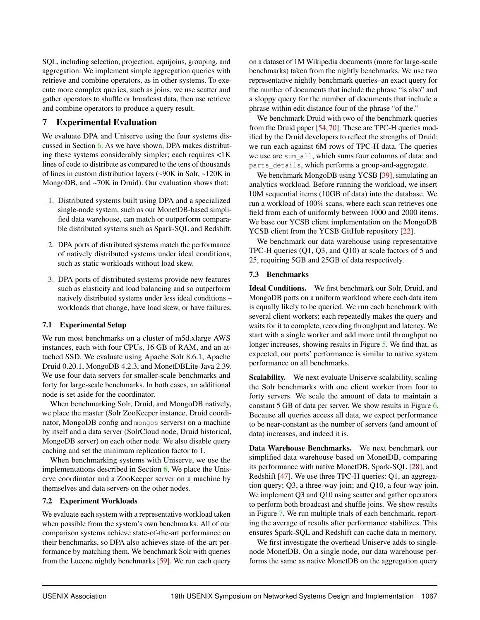SQL, including selection, projection, equijoins, grouping, and aggregation. We implement simple aggregation queries with retrieve and combine operators, as in other systems. To execute more complex queries, such as joins, we use scatter and gather operators to shuffle or broadcast data, then use retrieve and combine operators to produce a query result.

# <span id="page-9-0"></span>7 Experimental Evaluation

We evaluate DPA and Uniserve using the four systems discussed in Section [6.](#page-8-0) As we have shown, DPA makes distributing these systems considerably simpler; each requires <1K lines of code to distribute as compared to the tens of thousands of lines in custom distribution layers (~90K in Solr, ~120K in MongoDB, and ~70K in Druid). Our evaluation shows that:

- 1. Distributed systems built using DPA and a specialized single-node system, such as our MonetDB-based simplified data warehouse, can match or outperform comparable distributed systems such as Spark-SQL and Redshift.
- 2. DPA ports of distributed systems match the performance of natively distributed systems under ideal conditions, such as static workloads without load skew.
- 3. DPA ports of distributed systems provide new features such as elasticity and load balancing and so outperform natively distributed systems under less ideal conditions – workloads that change, have load skew, or have failures.

# 7.1 Experimental Setup

We run most benchmarks on a cluster of m5d.xlarge AWS instances, each with four CPUs, 16 GB of RAM, and an attached SSD. We evaluate using Apache Solr 8.6.1, Apache Druid 0.20.1, MongoDB 4.2.3, and MonetDBLite-Java 2.39. We use four data servers for smaller-scale benchmarks and forty for large-scale benchmarks. In both cases, an additional node is set aside for the coordinator.

When benchmarking Solr, Druid, and MongoDB natively, we place the master (Solr ZooKeeper instance, Druid coordinator, MongoDB config and mongos servers) on a machine by itself and a data server (SolrCloud node, Druid historical, MongoDB server) on each other node. We also disable query caching and set the minimum replication factor to 1.

When benchmarking systems with Uniserve, we use the implementations described in Section [6.](#page-8-0) We place the Uniserve coordinator and a ZooKeeper server on a machine by themselves and data servers on the other nodes.

## 7.2 Experiment Workloads

We evaluate each system with a representative workload taken when possible from the system's own benchmarks. All of our comparison systems achieve state-of-the-art performance on their benchmarks, so DPA also achieves state-of-the-art performance by matching them. We benchmark Solr with queries from the Lucene nightly benchmarks [\[59\]](#page-15-6). We run each query

on a dataset of 1M Wikipedia documents (more for large-scale benchmarks) taken from the nightly benchmarks. We use two representative nightly benchmark queries–an exact query for the number of documents that include the phrase "is also" and a sloppy query for the number of documents that include a phrase within edit distance four of the phrase "of the."

We benchmark Druid with two of the benchmark queries from the Druid paper [\[54,](#page-15-7) [70\]](#page-15-0). These are TPC-H queries modified by the Druid developers to reflect the strengths of Druid; we run each against 6M rows of TPC-H data. The queries we use are sum all, which sums four columns of data; and parts\_details, which performs a group-and-aggregate.

We benchmark MongoDB using YCSB [\[39\]](#page-14-8), simulating an analytics workload. Before running the workload, we insert 10M sequential items (10GB of data) into the database. We run a workload of 100% scans, where each scan retrieves one field from each of uniformly between 1000 and 2000 items. We base our YCSB client implementation on the MongoDB YCSB client from the YCSB GitHub repository [\[22\]](#page-13-20).

We benchmark our data warehouse using representative TPC-H queries (Q1, Q3, and Q10) at scale factors of 5 and 25, requiring 5GB and 25GB of data respectively.

# 7.3 Benchmarks

Ideal Conditions. We first benchmark our Solr, Druid, and MongoDB ports on a uniform workload where each data item is equally likely to be queried. We run each benchmark with several client workers; each repeatedly makes the query and waits for it to complete, recording throughput and latency. We start with a single worker and add more until throughput no longer increases, showing results in Figure [5.](#page-10-0) We find that, as expected, our ports' performance is similar to native system performance on all benchmarks.

Scalability. We next evaluate Uniserve scalability, scaling the Solr benchmarks with one client worker from four to forty servers. We scale the amount of data to maintain a constant 5 GB of data per server. We show results in Figure [6.](#page-10-1) Because all queries access all data, we expect performance to be near-constant as the number of servers (and amount of data) increases, and indeed it is.

Data Warehouse Benchmarks. We next benchmark our simplified data warehouse based on MonetDB, comparing its performance with native MonetDB, Spark-SQL [\[28\]](#page-13-21), and Redshift [\[47\]](#page-14-9). We use three TPC-H queries: Q1, an aggregation query; Q3, a three-way join; and Q10, a four-way join. We implement Q3 and Q10 using scatter and gather operators to perform both broadcast and shuffle joins. We show results in Figure [7.](#page-10-2) We run multiple trials of each benchmark, reporting the average of results after performance stabilizes. This ensures Spark-SQL and Redshift can cache data in memory.

We first investigate the overhead Uniserve adds to singlenode MonetDB. On a single node, our data warehouse performs the same as native MonetDB on the aggregation query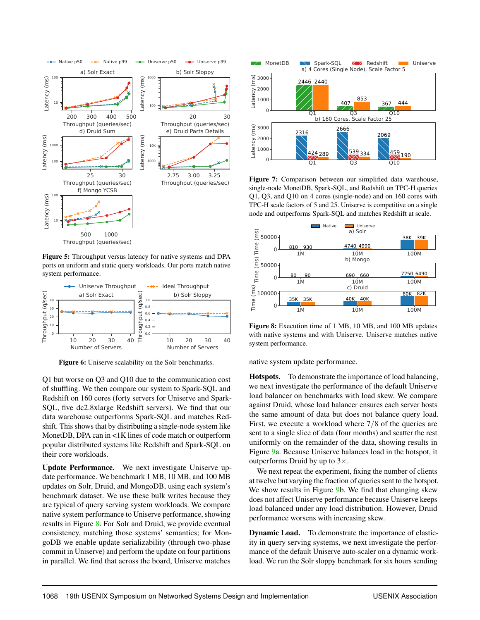<span id="page-10-0"></span>

Figure 5: Throughput versus latency for native systems and DPA ports on uniform and static query workloads. Our ports match native system performance.

<span id="page-10-1"></span>

Figure 6: Uniserve scalability on the Solr benchmarks.

Q1 but worse on Q3 and Q10 due to the communication cost of shuffling. We then compare our system to Spark-SQL and Redshift on 160 cores (forty servers for Uniserve and Spark-SQL, five dc2.8xlarge Redshift servers). We find that our data warehouse outperforms Spark-SQL and matches Redshift. This shows that by distributing a single-node system like MonetDB, DPA can in <1K lines of code match or outperform popular distributed systems like Redshift and Spark-SQL on their core workloads.

Update Performance. We next investigate Uniserve update performance. We benchmark 1 MB, 10 MB, and 100 MB updates on Solr, Druid, and MongoDB, using each system's benchmark dataset. We use these bulk writes because they are typical of query serving system workloads. We compare native system performance to Uniserve performance, showing results in Figure [8.](#page-10-3) For Solr and Druid, we provide eventual consistency, matching those systems' semantics; for MongoDB we enable update serializability (through two-phase commit in Uniserve) and perform the update on four partitions in parallel. We find that across the board, Uniserve matches

<span id="page-10-2"></span>

Figure 7: Comparison between our simplified data warehouse, single-node MonetDB, Spark-SQL, and Redshift on TPC-H queries Q1, Q3, and Q10 on 4 cores (single-node) and on 160 cores with TPC-H scale factors of 5 and 25. Uniserve is competitive on a single node and outperforms Spark-SQL and matches Redshift at scale.

<span id="page-10-3"></span>

Figure 8: Execution time of 1 MB, 10 MB, and 100 MB updates with native systems and with Uniserve. Uniserve matches native system performance.

native system update performance.

Hotspots. To demonstrate the importance of load balancing, we next investigate the performance of the default Uniserve load balancer on benchmarks with load skew. We compare against Druid, whose load balancer ensures each server hosts the same amount of data but does not balance query load. First, we execute a workload where 7/8 of the queries are sent to a single slice of data (four months) and scatter the rest uniformly on the remainder of the data, showing results in Figure [9a](#page-11-0). Because Uniserve balances load in the hotspot, it outperforms Druid by up to  $3\times$ .

We next repeat the experiment, fixing the number of clients at twelve but varying the fraction of queries sent to the hotspot. We show results in Figure [9b](#page-11-0). We find that changing skew does not affect Uniserve performance because Uniserve keeps load balanced under any load distribution. However, Druid performance worsens with increasing skew.

Dynamic Load. To demonstrate the importance of elasticity in query serving systems, we next investigate the performance of the default Uniserve auto-scaler on a dynamic workload. We run the Solr sloppy benchmark for six hours sending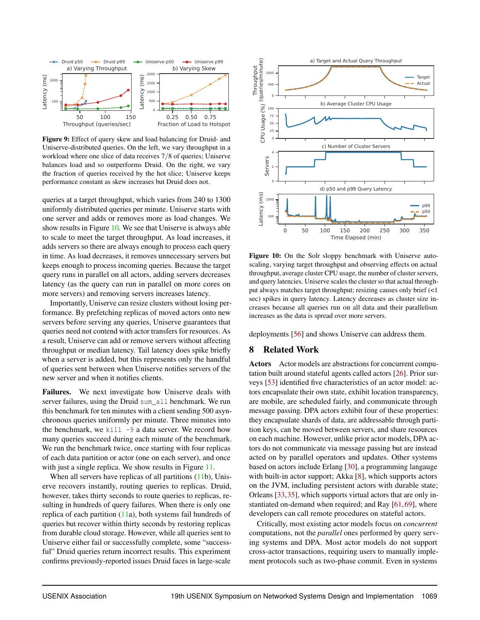<span id="page-11-0"></span>

Figure 9: Effect of query skew and load balancing for Druid- and Uniserve-distributed queries. On the left, we vary throughput in a workload where one slice of data receives 7/8 of queries; Uniserve balances load and so outperforms Druid. On the right, we vary the fraction of queries received by the hot slice; Uniserve keeps performance constant as skew increases but Druid does not.

queries at a target throughput, which varies from 240 to 1300 uniformly distributed queries per minute. Uniserve starts with one server and adds or removes more as load changes. We show results in Figure [10.](#page-11-1) We see that Uniserve is always able to scale to meet the target throughput. As load increases, it adds servers so there are always enough to process each query in time. As load decreases, it removes unnecessary servers but keeps enough to process incoming queries. Because the target query runs in parallel on all actors, adding servers decreases latency (as the query can run in parallel on more cores on more servers) and removing servers increases latency.

Importantly, Uniserve can resize clusters without losing performance. By prefetching replicas of moved actors onto new servers before serving any queries, Uniserve guarantees that queries need not contend with actor transfers for resources. As a result, Uniserve can add or remove servers without affecting throughput or median latency. Tail latency does spike briefly when a server is added, but this represents only the handful of queries sent between when Uniserve notifies servers of the new server and when it notifies clients.

Failures. We next investigate how Uniserve deals with server failures, using the Druid sum all benchmark. We run this benchmark for ten minutes with a client sending 500 asynchronous queries uniformly per minute. Three minutes into the benchmark, we kill  $-9$  a data server. We record how many queries succeed during each minute of the benchmark. We run the benchmark twice, once starting with four replicas of each data partition or actor (one on each server), and once with just a single replica. We show results in Figure [11.](#page-12-0)

When all servers have replicas of all partitions [\(11b](#page-12-0)), Uniserve recovers instantly, routing queries to replicas. Druid, however, takes thirty seconds to route queries to replicas, resulting in hundreds of query failures. When there is only one replica of each partition [\(11a](#page-12-0)), both systems fail hundreds of queries but recover within thirty seconds by restoring replicas from durable cloud storage. However, while all queries sent to Uniserve either fail or successfully complete, some "successful" Druid queries return incorrect results. This experiment confirms previously-reported issues Druid faces in large-scale

<span id="page-11-1"></span>

Figure 10: On the Solr sloppy benchmark with Uniserve autoscaling, varying target throughput and observing effects on actual throughput, average cluster CPU usage, the number of cluster servers, and query latencies. Uniserve scales the cluster so that actual throughput always matches target throughput; resizing causes only brief (<1 sec) spikes in query latency. Latency decreases as cluster size increases because all queries run on all data and their parallelism increases as the data is spread over more servers.

deployments [\[56\]](#page-15-8) and shows Uniserve can address them.

# 8 Related Work

Actors Actor models are abstractions for concurrent computation built around stateful agents called actors [\[26\]](#page-13-22). Prior surveys [\[53\]](#page-14-10) identified five characteristics of an actor model: actors encapsulate their own state, exhibit location transparency, are mobile, are scheduled fairly, and communicate through message passing. DPA actors exhibit four of these properties: they encapsulate shards of data, are addressable through partition keys, can be moved between servers, and share resources on each machine. However, unlike prior actor models, DPA actors do not communicate via message passing but are instead acted on by parallel operators and updates. Other systems based on actors include Erlang [\[30\]](#page-13-23), a programming langauge with built-in actor support; Akka [\[8\]](#page-13-24), which supports actors on the JVM, including persistent actors with durable state; Orleans [\[33,](#page-14-11)[35\]](#page-14-3), which supports virtual actors that are only instantiated on-demand when required; and Ray  $[61, 69]$  $[61, 69]$  $[61, 69]$ , where developers can call remote procedures on stateful actors.

Critically, most existing actor models focus on *concurrent* computations, not the *parallel* ones performed by query serving systems and DPA. Most actor models do not support cross-actor transactions, requiring users to manually implement protocols such as two-phase commit. Even in systems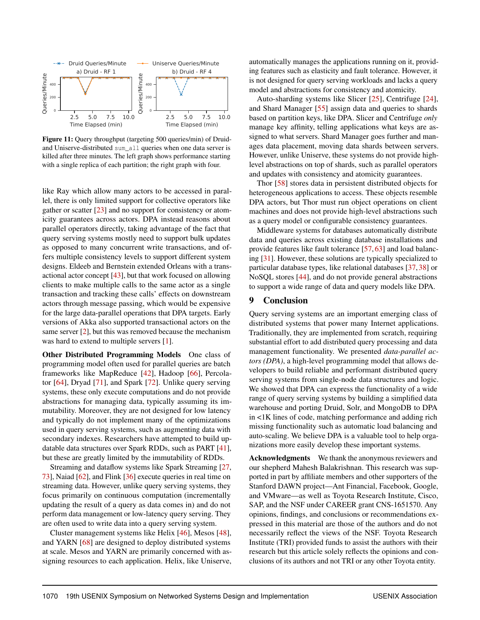<span id="page-12-0"></span>

Figure 11: Query throughput (targeting 500 queries/min) of Druidand Uniserve-distributed sum\_all queries when one data server is killed after three minutes. The left graph shows performance starting with a single replica of each partition; the right graph with four.

like Ray which allow many actors to be accessed in parallel, there is only limited support for collective operators like gather or scatter [\[23\]](#page-13-25) and no support for consistency or atomicity guarantees across actors. DPA instead reasons about parallel operators directly, taking advantage of the fact that query serving systems mostly need to support bulk updates as opposed to many concurrent write transactions, and offers multiple consistency levels to support different system designs. Eldeeb and Bernstein extended Orleans with a transactional actor concept [\[43\]](#page-14-12), but that work focused on allowing clients to make multiple calls to the same actor as a single transaction and tracking these calls' effects on downstream actors through message passing, which would be expensive for the large data-parallel operations that DPA targets. Early versions of Akka also supported transactional actors on the same server [\[2\]](#page-13-26), but this was removed because the mechanism was hard to extend to multiple servers [\[1\]](#page-13-27).

Other Distributed Programming Models One class of programming model often used for parallel queries are batch frameworks like MapReduce [\[42\]](#page-14-13), Hadoop [\[66\]](#page-15-10), Percolator [\[64\]](#page-15-11), Dryad [\[71\]](#page-15-12), and Spark [\[72\]](#page-15-3). Unlike query serving systems, these only execute computations and do not provide abstractions for managing data, typically assuming its immutability. Moreover, they are not designed for low latency and typically do not implement many of the optimizations used in query serving systems, such as augmenting data with secondary indexes. Researchers have attempted to build updatable data structures over Spark RDDs, such as PART [\[41\]](#page-14-14), but these are greatly limited by the immutability of RDDs.

Streaming and dataflow systems like Spark Streaming [\[27,](#page-13-28) [73\]](#page-16-1), Naiad [\[62\]](#page-15-13), and Flink [\[36\]](#page-14-15) execute queries in real time on streaming data. However, unlike query serving systems, they focus primarily on continuous computation (incrementally updating the result of a query as data comes in) and do not perform data management or low-latency query serving. They are often used to write data into a query serving system.

Cluster management systems like Helix [\[46\]](#page-14-16), Mesos [\[48\]](#page-14-17), and YARN [\[68\]](#page-15-14) are designed to deploy distributed systems at scale. Mesos and YARN are primarily concerned with assigning resources to each application. Helix, like Uniserve,

automatically manages the applications running on it, providing features such as elasticity and fault tolerance. However, it is not designed for query serving workloads and lacks a query model and abstractions for consistency and atomicity.

Auto-sharding systems like Slicer [\[25\]](#page-13-29), Centrifuge [\[24\]](#page-13-30), and Shard Manager [\[55\]](#page-15-15) assign data and queries to shards based on partition keys, like DPA. Slicer and Centrifuge *only* manage key affinity, telling applications what keys are assigned to what servers. Shard Manager goes further and manages data placement, moving data shards between servers. However, unlike Uniserve, these systems do not provide highlevel abstractions on top of shards, such as parallel operators and updates with consistency and atomicity guarantees.

Thor [\[58\]](#page-15-16) stores data in persistent distributed objects for heterogeneous applications to access. These objects resemble DPA actors, but Thor must run object operations on client machines and does not provide high-level abstractions such as a query model or configurable consistency guarantees.

Middleware systems for databases automatically distribute data and queries across existing database installations and provide features like fault tolerance [\[57,](#page-15-17) [63\]](#page-15-18) and load balancing [\[31\]](#page-13-31). However, these solutions are typically specialized to particular database types, like relational databases [\[37,](#page-14-18) [38\]](#page-14-19) or NoSQL stores [\[44\]](#page-14-20), and do not provide general abstractions to support a wide range of data and query models like DPA.

#### 9 Conclusion

Query serving systems are an important emerging class of distributed systems that power many Internet applications. Traditionally, they are implemented from scratch, requiring substantial effort to add distributed query processing and data management functionality. We presented *data-parallel actors (DPA)*, a high-level programming model that allows developers to build reliable and performant distributed query serving systems from single-node data structures and logic. We showed that DPA can express the functionality of a wide range of query serving systems by building a simplified data warehouse and porting Druid, Solr, and MongoDB to DPA in <1K lines of code, matching performance and adding rich missing functionality such as automatic load balancing and auto-scaling. We believe DPA is a valuable tool to help organizations more easily develop these important systems.

Acknowledgments We thank the anonymous reviewers and our shepherd Mahesh Balakrishnan. This research was supported in part by affiliate members and other supporters of the Stanford DAWN project—Ant Financial, Facebook, Google, and VMware—as well as Toyota Research Institute, Cisco, SAP, and the NSF under CAREER grant CNS-1651570. Any opinions, findings, and conclusions or recommendations expressed in this material are those of the authors and do not necessarily reflect the views of the NSF. Toyota Research Institute (TRI) provided funds to assist the authors with their research but this article solely reflects the opinions and conclusions of its authors and not TRI or any other Toyota entity.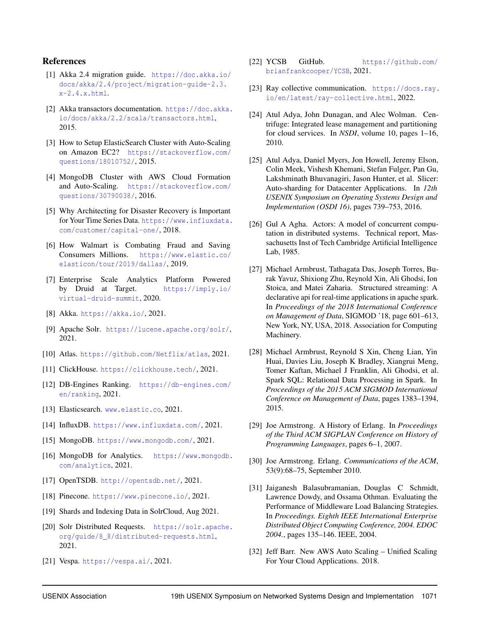## References

- <span id="page-13-27"></span>[1] Akka 2.4 migration guide. [https://doc.akka.io/](https://doc.akka.io/docs/akka/2.4/project/migration-guide-2.3.x-2.4.x.html) [docs/akka/2.4/project/migration-guide-2.3.](https://doc.akka.io/docs/akka/2.4/project/migration-guide-2.3.x-2.4.x.html)  $x-2.4.x.html.$  $x-2.4.x.html.$
- <span id="page-13-26"></span>[2] Akka transactors documentation. [https://doc.akka.](https://doc.akka.io/docs/akka/2.2/scala/transactors.html) [io/docs/akka/2.2/scala/transactors.html](https://doc.akka.io/docs/akka/2.2/scala/transactors.html), 2015.
- <span id="page-13-12"></span>[3] How to Setup ElasticSearch Cluster with Auto-Scaling on Amazon EC2? [https://stackoverflow.com/](https://stackoverflow.com/questions/18010752/) [questions/18010752/](https://stackoverflow.com/questions/18010752/), 2015.
- <span id="page-13-13"></span>[4] MongoDB Cluster with AWS Cloud Formation and Auto-Scaling. [https://stackoverflow.com/](https://stackoverflow.com/questions/30790038/) [questions/30790038/](https://stackoverflow.com/questions/30790038/), 2016.
- <span id="page-13-10"></span>[5] Why Architecting for Disaster Recovery is Important for Your Time Series Data. [https://www.influxdata.](https://www.influxdata.com/customer/capital-one/) [com/customer/capital-one/](https://www.influxdata.com/customer/capital-one/), 2018.
- <span id="page-13-9"></span>[6] How Walmart is Combating Fraud and Saving Consumers Millions. [https://www.elastic.co/](https://www.elastic.co/elasticon/tour/2019/dallas/) [elasticon/tour/2019/dallas/](https://www.elastic.co/elasticon/tour/2019/dallas/), 2019.
- <span id="page-13-11"></span>[7] Enterprise Scale Analytics Platform Powered by Druid at Target. [https://imply.io/](https://imply.io/virtual-druid-summit) [virtual-druid-summit](https://imply.io/virtual-druid-summit), 2020.
- <span id="page-13-24"></span>[8] Akka. <https://akka.io/>, 2021.
- <span id="page-13-0"></span>[9] Apache Solr. <https://lucene.apache.org/solr/>, 2021.
- <span id="page-13-5"></span>[10] Atlas. <https://github.com/Netflix/atlas>, 2021.
- <span id="page-13-2"></span>[11] ClickHouse. <https://clickhouse.tech/>, 2021.
- <span id="page-13-16"></span>[12] DB-Engines Ranking. [https://db-engines.com/](https://db-engines.com/en/ranking) [en/ranking](https://db-engines.com/en/ranking), 2021.
- <span id="page-13-1"></span>[13] Elasticsearch. <www.elastic.co>, 2021.
- <span id="page-13-3"></span>[14] InfluxDB. <https://www.influxdata.com/>, 2021.
- <span id="page-13-6"></span>[15] MongoDB. <https://www.mongodb.com/>, 2021.
- <span id="page-13-15"></span>[16] MongoDB for Analytics. [https://www.mongodb.](https://www.mongodb.com/analytics) [com/analytics](https://www.mongodb.com/analytics), 2021.
- <span id="page-13-4"></span>[17] OpenTSDB. <http://opentsdb.net/>, 2021.
- <span id="page-13-7"></span>[18] Pinecone. <https://www.pinecone.io/>, 2021.
- <span id="page-13-18"></span>[19] Shards and Indexing Data in SolrCloud, Aug 2021.
- <span id="page-13-17"></span>[20] Solr Distributed Requests. [https://solr.apache.](https://solr.apache.org/guide/8_8/distributed-requests.html) [org/guide/8\\_8/distributed-requests.html](https://solr.apache.org/guide/8_8/distributed-requests.html), 2021.
- <span id="page-13-8"></span>[21] Vespa. <https://vespa.ai/>, 2021.
- <span id="page-13-20"></span>[22] YCSB GitHub. [https://github.com/](https://github.com/brianfrankcooper/YCSB) [brianfrankcooper/YCSB](https://github.com/brianfrankcooper/YCSB), 2021.
- <span id="page-13-25"></span>[23] Ray collective communication. [https://docs.ray.](https://docs.ray.io/en/latest/ray-collective.html) [io/en/latest/ray-collective.html](https://docs.ray.io/en/latest/ray-collective.html), 2022.
- <span id="page-13-30"></span>[24] Atul Adya, John Dunagan, and Alec Wolman. Centrifuge: Integrated lease management and partitioning for cloud services. In *NSDI*, volume 10, pages 1–16, 2010.
- <span id="page-13-29"></span>[25] Atul Adya, Daniel Myers, Jon Howell, Jeremy Elson, Colin Meek, Vishesh Khemani, Stefan Fulger, Pan Gu, Lakshminath Bhuvanagiri, Jason Hunter, et al. Slicer: Auto-sharding for Datacenter Applications. In *12th USENIX Symposium on Operating Systems Design and Implementation (OSDI 16)*, pages 739–753, 2016.
- <span id="page-13-22"></span>[26] Gul A Agha. Actors: A model of concurrent computation in distributed systems. Technical report, Massachusetts Inst of Tech Cambridge Artificial Intelligence Lab, 1985.
- <span id="page-13-28"></span>[27] Michael Armbrust, Tathagata Das, Joseph Torres, Burak Yavuz, Shixiong Zhu, Reynold Xin, Ali Ghodsi, Ion Stoica, and Matei Zaharia. Structured streaming: A declarative api for real-time applications in apache spark. In *Proceedings of the 2018 International Conference on Management of Data*, SIGMOD '18, page 601–613, New York, NY, USA, 2018. Association for Computing Machinery.
- <span id="page-13-21"></span>[28] Michael Armbrust, Reynold S Xin, Cheng Lian, Yin Huai, Davies Liu, Joseph K Bradley, Xiangrui Meng, Tomer Kaftan, Michael J Franklin, Ali Ghodsi, et al. Spark SQL: Relational Data Processing in Spark. In *Proceedings of the 2015 ACM SIGMOD International Conference on Management of Data*, pages 1383–1394, 2015.
- <span id="page-13-14"></span>[29] Joe Armstrong. A History of Erlang. In *Proceedings of the Third ACM SIGPLAN Conference on History of Programming Languages*, pages 6–1, 2007.
- <span id="page-13-23"></span>[30] Joe Armstrong. Erlang. *Communications of the ACM*, 53(9):68–75, September 2010.
- <span id="page-13-31"></span>[31] Jaiganesh Balasubramanian, Douglas C Schmidt, Lawrence Dowdy, and Ossama Othman. Evaluating the Performance of Middleware Load Balancing Strategies. In *Proceedings. Eighth IEEE International Enterprise Distributed Object Computing Conference, 2004. EDOC 2004.*, pages 135–146. IEEE, 2004.
- <span id="page-13-19"></span>[32] Jeff Barr. New AWS Auto Scaling – Unified Scaling For Your Cloud Applications. 2018.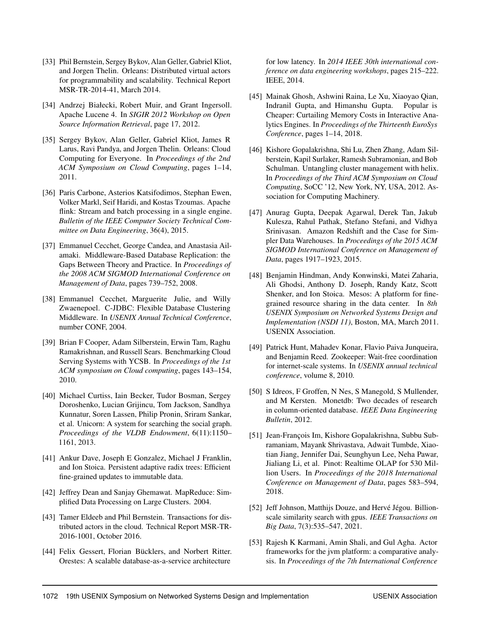- <span id="page-14-11"></span>[33] Phil Bernstein, Sergey Bykov, Alan Geller, Gabriel Kliot, and Jorgen Thelin. Orleans: Distributed virtual actors for programmability and scalability. Technical Report MSR-TR-2014-41, March 2014.
- <span id="page-14-5"></span>[34] Andrzej Białecki, Robert Muir, and Grant Ingersoll. Apache Lucene 4. In *SIGIR 2012 Workshop on Open Source Information Retrieval*, page 17, 2012.
- <span id="page-14-3"></span>[35] Sergey Bykov, Alan Geller, Gabriel Kliot, James R Larus, Ravi Pandya, and Jorgen Thelin. Orleans: Cloud Computing for Everyone. In *Proceedings of the 2nd ACM Symposium on Cloud Computing*, pages 1–14, 2011.
- <span id="page-14-15"></span>[36] Paris Carbone, Asterios Katsifodimos, Stephan Ewen, Volker Markl, Seif Haridi, and Kostas Tzoumas. Apache flink: Stream and batch processing in a single engine. *Bulletin of the IEEE Computer Society Technical Committee on Data Engineering*, 36(4), 2015.
- <span id="page-14-18"></span>[37] Emmanuel Cecchet, George Candea, and Anastasia Ailamaki. Middleware-Based Database Replication: the Gaps Between Theory and Practice. In *Proceedings of the 2008 ACM SIGMOD International Conference on Management of Data*, pages 739–752, 2008.
- <span id="page-14-19"></span>[38] Emmanuel Cecchet, Marguerite Julie, and Willy Zwaenepoel. C-JDBC: Flexible Database Clustering Middleware. In *USENIX Annual Technical Conference*, number CONF, 2004.
- <span id="page-14-8"></span>[39] Brian F Cooper, Adam Silberstein, Erwin Tam, Raghu Ramakrishnan, and Russell Sears. Benchmarking Cloud Serving Systems with YCSB. In *Proceedings of the 1st ACM symposium on Cloud computing*, pages 143–154, 2010.
- <span id="page-14-0"></span>[40] Michael Curtiss, Iain Becker, Tudor Bosman, Sergey Doroshenko, Lucian Grijincu, Tom Jackson, Sandhya Kunnatur, Soren Lassen, Philip Pronin, Sriram Sankar, et al. Unicorn: A system for searching the social graph. *Proceedings of the VLDB Endowment*, 6(11):1150– 1161, 2013.
- <span id="page-14-14"></span>[41] Ankur Dave, Joseph E Gonzalez, Michael J Franklin, and Ion Stoica. Persistent adaptive radix trees: Efficient fine-grained updates to immutable data.
- <span id="page-14-13"></span>[42] Jeffrey Dean and Sanjay Ghemawat. MapReduce: Simplified Data Processing on Large Clusters. 2004.
- <span id="page-14-12"></span>[43] Tamer Eldeeb and Phil Bernstein. Transactions for distributed actors in the cloud. Technical Report MSR-TR-2016-1001, October 2016.
- <span id="page-14-20"></span>[44] Felix Gessert, Florian Bücklers, and Norbert Ritter. Orestes: A scalable database-as-a-service architecture

for low latency. In *2014 IEEE 30th international conference on data engineering workshops*, pages 215–222. IEEE, 2014.

- <span id="page-14-6"></span>[45] Mainak Ghosh, Ashwini Raina, Le Xu, Xiaoyao Qian, Indranil Gupta, and Himanshu Gupta. Popular is Cheaper: Curtailing Memory Costs in Interactive Analytics Engines. In *Proceedings of the Thirteenth EuroSys Conference*, pages 1–14, 2018.
- <span id="page-14-16"></span>[46] Kishore Gopalakrishna, Shi Lu, Zhen Zhang, Adam Silberstein, Kapil Surlaker, Ramesh Subramonian, and Bob Schulman. Untangling cluster management with helix. In *Proceedings of the Third ACM Symposium on Cloud Computing*, SoCC '12, New York, NY, USA, 2012. Association for Computing Machinery.
- <span id="page-14-9"></span>[47] Anurag Gupta, Deepak Agarwal, Derek Tan, Jakub Kulesza, Rahul Pathak, Stefano Stefani, and Vidhya Srinivasan. Amazon Redshift and the Case for Simpler Data Warehouses. In *Proceedings of the 2015 ACM SIGMOD International Conference on Management of Data*, pages 1917–1923, 2015.
- <span id="page-14-17"></span>[48] Benjamin Hindman, Andy Konwinski, Matei Zaharia, Ali Ghodsi, Anthony D. Joseph, Randy Katz, Scott Shenker, and Ion Stoica. Mesos: A platform for finegrained resource sharing in the data center. In *8th USENIX Symposium on Networked Systems Design and Implementation (NSDI 11)*, Boston, MA, March 2011. USENIX Association.
- <span id="page-14-7"></span>[49] Patrick Hunt, Mahadev Konar, Flavio Paiva Junqueira, and Benjamin Reed. Zookeeper: Wait-free coordination for internet-scale systems. In *USENIX annual technical conference*, volume 8, 2010.
- <span id="page-14-4"></span>[50] S Idreos, F Groffen, N Nes, S Manegold, S Mullender, and M Kersten. Monetdb: Two decades of research in column-oriented database. *IEEE Data Engineering Bulletin*, 2012.
- <span id="page-14-1"></span>[51] Jean-François Im, Kishore Gopalakrishna, Subbu Subramaniam, Mayank Shrivastava, Adwait Tumbde, Xiaotian Jiang, Jennifer Dai, Seunghyun Lee, Neha Pawar, Jialiang Li, et al. Pinot: Realtime OLAP for 530 Million Users. In *Proceedings of the 2018 International Conference on Management of Data*, pages 583–594, 2018.
- <span id="page-14-2"></span>[52] Jeff Johnson, Matthijs Douze, and Hervé Jégou. Billionscale similarity search with gpus. *IEEE Transactions on Big Data*, 7(3):535–547, 2021.
- <span id="page-14-10"></span>[53] Rajesh K Karmani, Amin Shali, and Gul Agha. Actor frameworks for the jvm platform: a comparative analysis. In *Proceedings of the 7th International Conference*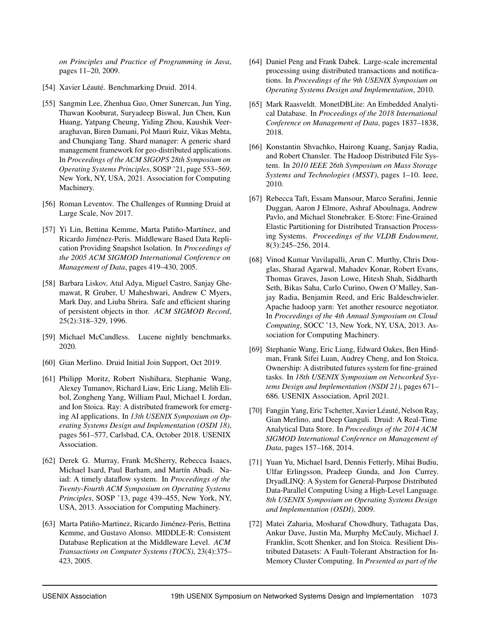*on Principles and Practice of Programming in Java*, pages 11–20, 2009.

- <span id="page-15-7"></span>[54] Xavier Léauté. Benchmarking Druid. 2014.
- <span id="page-15-15"></span>[55] Sangmin Lee, Zhenhua Guo, Omer Sunercan, Jun Ying, Thawan Kooburat, Suryadeep Biswal, Jun Chen, Kun Huang, Yatpang Cheung, Yiding Zhou, Kaushik Veeraraghavan, Biren Damani, Pol Mauri Ruiz, Vikas Mehta, and Chunqiang Tang. Shard manager: A generic shard management framework for geo-distributed applications. In *Proceedings of the ACM SIGOPS 28th Symposium on Operating Systems Principles*, SOSP '21, page 553–569, New York, NY, USA, 2021. Association for Computing Machinery.
- <span id="page-15-8"></span>[56] Roman Leventov. The Challenges of Running Druid at Large Scale, Nov 2017.
- <span id="page-15-17"></span>[57] Yi Lin, Bettina Kemme, Marta Patiño-Martínez, and Ricardo Jiménez-Peris. Middleware Based Data Replication Providing Snapshot Isolation. In *Proceedings of the 2005 ACM SIGMOD International Conference on Management of Data*, pages 419–430, 2005.
- <span id="page-15-16"></span>[58] Barbara Liskov, Atul Adya, Miguel Castro, Sanjay Ghemawat, R Gruber, U Maheshwari, Andrew C Myers, Mark Day, and Liuba Shrira. Safe and efficient sharing of persistent objects in thor. *ACM SIGMOD Record*, 25(2):318–329, 1996.
- <span id="page-15-6"></span>[59] Michael McCandless. Lucene nightly benchmarks. 2020.
- <span id="page-15-1"></span>[60] Gian Merlino. Druid Initial Join Support, Oct 2019.
- <span id="page-15-2"></span>[61] Philipp Moritz, Robert Nishihara, Stephanie Wang, Alexey Tumanov, Richard Liaw, Eric Liang, Melih Elibol, Zongheng Yang, William Paul, Michael I. Jordan, and Ion Stoica. Ray: A distributed framework for emerging AI applications. In *13th USENIX Symposium on Operating Systems Design and Implementation (OSDI 18)*, pages 561–577, Carlsbad, CA, October 2018. USENIX Association.
- <span id="page-15-13"></span>[62] Derek G. Murray, Frank McSherry, Rebecca Isaacs, Michael Isard, Paul Barham, and Martín Abadi. Naiad: A timely dataflow system. In *Proceedings of the Twenty-Fourth ACM Symposium on Operating Systems Principles*, SOSP '13, page 439–455, New York, NY, USA, 2013. Association for Computing Machinery.
- <span id="page-15-18"></span>[63] Marta Patiño-Martinez, Ricardo Jiménez-Peris, Bettina Kemme, and Gustavo Alonso. MIDDLE-R: Consistent Database Replication at the Middleware Level. *ACM Transactions on Computer Systems (TOCS)*, 23(4):375– 423, 2005.
- <span id="page-15-11"></span>[64] Daniel Peng and Frank Dabek. Large-scale incremental processing using distributed transactions and notifications. In *Proceedings of the 9th USENIX Symposium on Operating Systems Design and Implementation*, 2010.
- <span id="page-15-5"></span>[65] Mark Raasveldt. MonetDBLite: An Embedded Analytical Database. In *Proceedings of the 2018 International Conference on Management of Data*, pages 1837–1838, 2018.
- <span id="page-15-10"></span>[66] Konstantin Shvachko, Hairong Kuang, Sanjay Radia, and Robert Chansler. The Hadoop Distributed File System. In *2010 IEEE 26th Symposium on Mass Storage Systems and Technologies (MSST)*, pages 1–10. Ieee, 2010.
- <span id="page-15-4"></span>[67] Rebecca Taft, Essam Mansour, Marco Serafini, Jennie Duggan, Aaron J Elmore, Ashraf Aboulnaga, Andrew Pavlo, and Michael Stonebraker. E-Store: Fine-Grained Elastic Partitioning for Distributed Transaction Processing Systems. *Proceedings of the VLDB Endowment*, 8(3):245–256, 2014.
- <span id="page-15-14"></span>[68] Vinod Kumar Vavilapalli, Arun C. Murthy, Chris Douglas, Sharad Agarwal, Mahadev Konar, Robert Evans, Thomas Graves, Jason Lowe, Hitesh Shah, Siddharth Seth, Bikas Saha, Carlo Curino, Owen O'Malley, Sanjay Radia, Benjamin Reed, and Eric Baldeschwieler. Apache hadoop yarn: Yet another resource negotiator. In *Proceedings of the 4th Annual Symposium on Cloud Computing*, SOCC '13, New York, NY, USA, 2013. Association for Computing Machinery.
- <span id="page-15-9"></span>[69] Stephanie Wang, Eric Liang, Edward Oakes, Ben Hindman, Frank Sifei Luan, Audrey Cheng, and Ion Stoica. Ownership: A distributed futures system for fine-grained tasks. In *18th USENIX Symposium on Networked Systems Design and Implementation (NSDI 21)*, pages 671– 686. USENIX Association, April 2021.
- <span id="page-15-0"></span>[70] Fangjin Yang, Eric Tschetter, Xavier Léauté, Nelson Ray, Gian Merlino, and Deep Ganguli. Druid: A Real-Time Analytical Data Store. In *Proceedings of the 2014 ACM SIGMOD International Conference on Management of Data*, pages 157–168, 2014.
- <span id="page-15-12"></span>[71] Yuan Yu, Michael Isard, Dennis Fetterly, Mihai Budiu, Ulfar Erlingsson, Pradeep Gunda, and Jon Currey. DryadLINQ: A System for General-Purpose Distributed Data-Parallel Computing Using a High-Level Language. *8th USENIX Symposium on Operating Systems Design and Implementation (OSDI)*, 2009.
- <span id="page-15-3"></span>[72] Matei Zaharia, Mosharaf Chowdhury, Tathagata Das, Ankur Dave, Justin Ma, Murphy McCauly, Michael J. Franklin, Scott Shenker, and Ion Stoica. Resilient Distributed Datasets: A Fault-Tolerant Abstraction for In-Memory Cluster Computing. In *Presented as part of the*